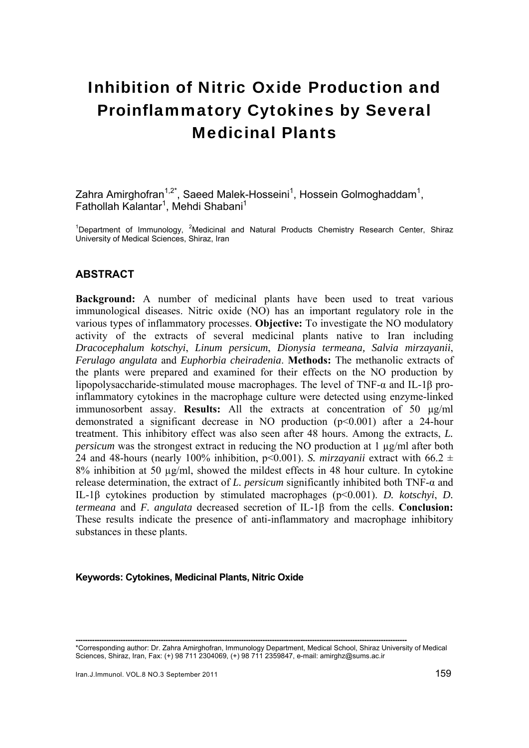# Inhibition of Nitric Oxide Production and Proinflammatory Cytokines by Several Medicinal Plants

Zahra Amirghofran<sup>1,2\*</sup>, Saeed Malek-Hosseini<sup>1</sup>, Hossein Golmoghaddam<sup>1</sup>, Fathollah Kalantar<sup>1</sup>, Mehdi Shabani<sup>1</sup>

<sup>1</sup>Department of Immunology, <sup>2</sup>Medicinal and Natural Products Chemistry Research Center, Shiraz University of Medical Sciences, Shiraz, Iran

### **ABSTRACT**

**Background:** A number of medicinal plants have been used to treat various immunological diseases. Nitric oxide (NO) has an important regulatory role in the various types of inflammatory processes. **Objective:** To investigate the NO modulatory activity of the extracts of several medicinal plants native to Iran including *Dracocephalum kotschyi*, *Linum persicum*, *Dionysia termeana, Salvia mirzayanii*, *Ferulago angulata* and *Euphorbia cheiradenia*. **Methods:** The methanolic extracts of the plants were prepared and examined for their effects on the NO production by lipopolysaccharide-stimulated mouse macrophages. The level of TNF-α and IL-1β proinflammatory cytokines in the macrophage culture were detected using enzyme-linked immunosorbent assay. **Results:** All the extracts at concentration of 50 μg/ml demonstrated a significant decrease in NO production (p<0.001) after a 24-hour treatment. This inhibitory effect was also seen after 48 hours. Among the extracts, *L. persicum* was the strongest extract in reducing the NO production at 1 µg/ml after both 24 and 48-hours (nearly 100% inhibition,  $p<0.001$ ). *S. mirzayanii* extract with 66.2  $\pm$ 8% inhibition at 50 µg/ml, showed the mildest effects in 48 hour culture. In cytokine release determination, the extract of *L. persicum* significantly inhibited both TNF-α and IL-1β cytokines production by stimulated macrophages (p<0.001). *D. kotschyi*, *D. termeana* and *F. angulata* decreased secretion of IL-1β from the cells. **Conclusion:** These results indicate the presence of anti-inflammatory and macrophage inhibitory substances in these plants.

### **Keywords: Cytokines, Medicinal Plants, Nitric Oxide**

**--------------------------------------------------------------------------------------------------------------------------------------------** 

<sup>\*</sup>Corresponding author: Dr. Zahra Amirghofran, Immunology Department, Medical School, Shiraz University of Medical Sciences, Shiraz, Iran, Fax: (+) 98 711 2304069, (+) 98 711 2359847, e-mail: amirghz@sums.ac.ir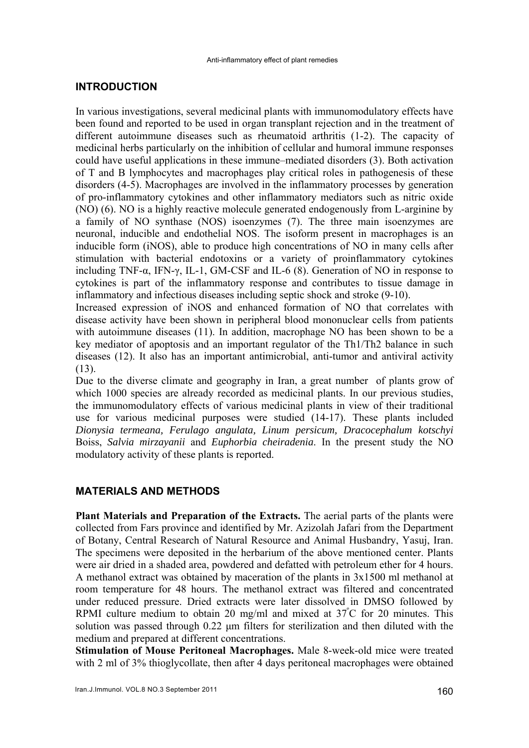### **INTRODUCTION**

In various investigations, several medicinal plants with immunomodulatory effects have been found and reported to be used in organ transplant rejection and in the treatment of different autoimmune diseases such as rheumatoid arthritis (1-2). The capacity of medicinal herbs particularly on the inhibition of cellular and humoral immune responses could have useful applications in these immune–mediated disorders (3). Both activation of T and B lymphocytes and macrophages play critical roles in pathogenesis of these disorders (4-5). Macrophages are involved in the inflammatory processes by generation of pro-inflammatory cytokines and other inflammatory mediators such as nitric oxide (NO) (6). NO is a highly reactive molecule generated endogenously from L-arginine by a family of NO synthase (NOS) isoenzymes (7). The three main isoenzymes are neuronal, inducible and endothelial NOS. The isoform present in macrophages is an inducible form (iNOS), able to produce high concentrations of NO in many cells after stimulation with bacterial endotoxins or a variety of proinflammatory cytokines including TNF-α, IFN-γ, IL-1, GM-CSF and IL-6 (8). Generation of NO in response to cytokines is part of the inflammatory response and contributes to tissue damage in inflammatory and infectious diseases including septic shock and stroke (9-10).

Increased expression of iNOS and enhanced formation of NO that correlates with disease activity have been shown in peripheral blood mononuclear cells from patients with autoimmune diseases (11). In addition, macrophage NO has been shown to be a key mediator of apoptosis and an important regulator of the Th1/Th2 balance in such diseases (12). It also has an important antimicrobial, anti-tumor and antiviral activity (13).

Due to the diverse climate and geography in Iran, a great number of plants grow of which 1000 species are already recorded as medicinal plants. In our previous studies, the immunomodulatory effects of various medicinal plants in view of their traditional use for various medicinal purposes were studied (14-17). These plants included *Dionysia termeana, Ferulago angulata, Linum persicum, Dracocephalum kotschyi* Boiss, *Salvia mirzayanii* and *Euphorbia cheiradenia*. In the present study the NO modulatory activity of these plants is reported.

# **MATERIALS AND METHODS**

**Plant Materials and Preparation of the Extracts.** The aerial parts of the plants were collected from Fars province and identified by Mr. Azizolah Jafari from the Department of Botany, Central Research of Natural Resource and Animal Husbandry, Yasuj, Iran. The specimens were deposited in the herbarium of the above mentioned center. Plants were air dried in a shaded area, powdered and defatted with petroleum ether for 4 hours. A methanol extract was obtained by maceration of the plants in 3x1500 ml methanol at room temperature for 48 hours. The methanol extract was filtered and concentrated under reduced pressure. Dried extracts were later dissolved in DMSO followed by RPMI culture medium to obtain 20 mg/ml and mixed at  $37^{\circ}$ C for 20 minutes. This solution was passed through 0.22 μm filters for sterilization and then diluted with the medium and prepared at different concentrations.

**Stimulation of Mouse Peritoneal Macrophages.** Male 8-week-old mice were treated with 2 ml of 3% thioglycollate, then after 4 days peritoneal macrophages were obtained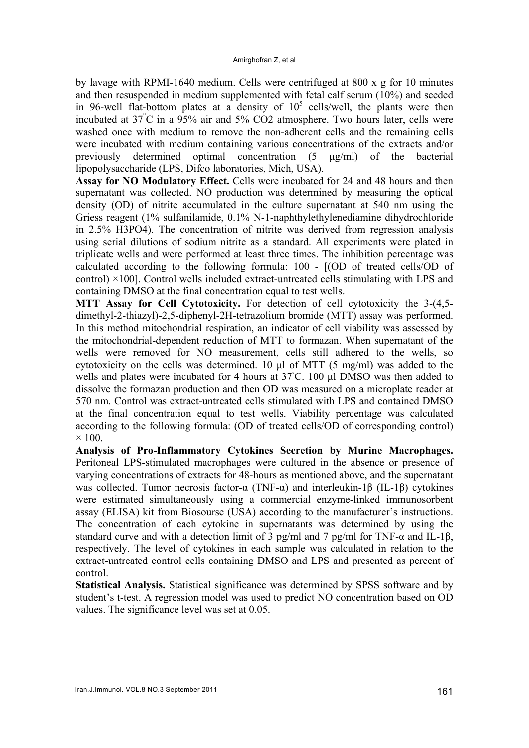by lavage with RPMI-1640 medium. Cells were centrifuged at 800 x g for 10 minutes and then resuspended in medium supplemented with fetal calf serum (10%) and seeded in 96-well flat-bottom plates at a density of  $10<sup>5</sup>$  cells/well, the plants were then incubated at 37° C in a 95% air and 5% CO2 atmosphere. Two hours later, cells were washed once with medium to remove the non-adherent cells and the remaining cells were incubated with medium containing various concentrations of the extracts and/or previously determined optimal concentration (5 μg/ml) of the bacterial lipopolysaccharide (LPS, Difco laboratories, Mich, USA).

**Assay for NO Modulatory Effect.** Cells were incubated for 24 and 48 hours and then supernatant was collected. NO production was determined by measuring the optical density (OD) of nitrite accumulated in the culture supernatant at 540 nm using the Griess reagent (1% sulfanilamide, 0.1% N-1-naphthylethylenediamine dihydrochloride in 2.5% H3PO4). The concentration of nitrite was derived from regression analysis using serial dilutions of sodium nitrite as a standard. All experiments were plated in triplicate wells and were performed at least three times. The inhibition percentage was calculated according to the following formula: 100 - [(OD of treated cells/OD of control) ×100]. Control wells included extract-untreated cells stimulating with LPS and containing DMSO at the final concentration equal to test wells.

**MTT Assay for Cell Cytotoxicity.** For detection of cell cytotoxicity the 3-(4,5 dimethyl-2-thiazyl)-2,5-diphenyl-2H-tetrazolium bromide (MTT) assay was performed. In this method mitochondrial respiration, an indicator of cell viability was assessed by the mitochondrial-dependent reduction of MTT to formazan. When supernatant of the wells were removed for NO measurement, cells still adhered to the wells, so cytotoxicity on the cells was determined. 10 μl of MTT (5 mg/ml) was added to the wells and plates were incubated for 4 hours at 37◦ C. 100 μl DMSO was then added to dissolve the formazan production and then OD was measured on a microplate reader at 570 nm. Control was extract-untreated cells stimulated with LPS and contained DMSO at the final concentration equal to test wells. Viability percentage was calculated according to the following formula: (OD of treated cells/OD of corresponding control)  $\times$  100.

**Analysis of Pro-Inflammatory Cytokines Secretion by Murine Macrophages.**  Peritoneal LPS-stimulated macrophages were cultured in the absence or presence of varying concentrations of extracts for 48-hours as mentioned above, and the supernatant was collected. Tumor necrosis factor-α (TNF-α) and interleukin-1β (IL-1β) cytokines were estimated simultaneously using a commercial enzyme-linked immunosorbent assay (ELISA) kit from Biosourse (USA) according to the manufacturer's instructions. The concentration of each cytokine in supernatants was determined by using the standard curve and with a detection limit of 3 pg/ml and 7 pg/ml for TNF- $\alpha$  and IL-1 $\beta$ , respectively. The level of cytokines in each sample was calculated in relation to the extract-untreated control cells containing DMSO and LPS and presented as percent of control.

**Statistical Analysis.** Statistical significance was determined by SPSS software and by student's t-test. A regression model was used to predict NO concentration based on OD values. The significance level was set at 0.05.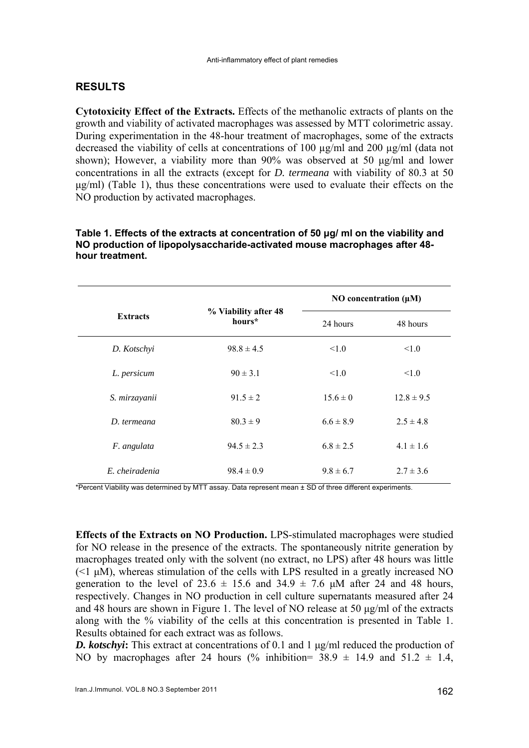# **RESULTS**

**Cytotoxicity Effect of the Extracts.** Effects of the methanolic extracts of plants on the growth and viability of activated macrophages was assessed by MTT colorimetric assay. During experimentation in the 48-hour treatment of macrophages, some of the extracts decreased the viability of cells at concentrations of 100 µg/ml and 200 µg/ml (data not shown); However, a viability more than 90% was observed at 50 μg/ml and lower concentrations in all the extracts (except for *D. termeana* with viability of 80.3 at 50 μg/ml) (Table 1), thus these concentrations were used to evaluate their effects on the NO production by activated macrophages.

| <b>Extracts</b> | % Viability after 48<br>hours* | NO concentration $(\mu M)$ |                |
|-----------------|--------------------------------|----------------------------|----------------|
|                 |                                | 24 hours                   | 48 hours       |
| D. Kotschyi     | $98.8 \pm 4.5$                 | 1.0                        | < 1.0          |
| L. persicum     | $90 \pm 3.1$                   | < 1.0                      | < 1.0          |
| S. mirzayanii   | $91.5 \pm 2$                   | $15.6 \pm 0$               | $12.8 \pm 9.5$ |
| D. termeana     | $80.3 \pm 9$                   | $6.6 \pm 8.9$              | $2.5 \pm 4.8$  |
| F. angulata     | $94.5 \pm 2.3$                 | $6.8 \pm 2.5$              | $4.1 \pm 1.6$  |
| E. cheiradenia  | $98.4 \pm 0.9$                 | $9.8 \pm 6.7$              | $2.7 \pm 3.6$  |

### **Table 1. Effects of the extracts at concentration of 50 μg/ ml on the viability and NO production of lipopolysaccharide-activated mouse macrophages after 48 hour treatment.**

\*Percent Viability was determined by MTT assay. Data represent mean ± SD of three different experiments.

**Effects of the Extracts on NO Production.** LPS-stimulated macrophages were studied for NO release in the presence of the extracts. The spontaneously nitrite generation by macrophages treated only with the solvent (no extract, no LPS) after 48 hours was little  $(\leq 1 \mu M)$ , whereas stimulation of the cells with LPS resulted in a greatly increased NO generation to the level of  $23.6 \pm 15.6$  and  $34.9 \pm 7.6$  µM after 24 and 48 hours, respectively. Changes in NO production in cell culture supernatants measured after 24 and 48 hours are shown in Figure 1. The level of NO release at 50 μg/ml of the extracts along with the % viability of the cells at this concentration is presented in Table 1. Results obtained for each extract was as follows.

*D. kotschyi***:** This extract at concentrations of 0.1 and 1 μg/ml reduced the production of NO by macrophages after 24 hours (% inhibition=  $38.9 \pm 14.9$  and  $51.2 \pm 1.4$ )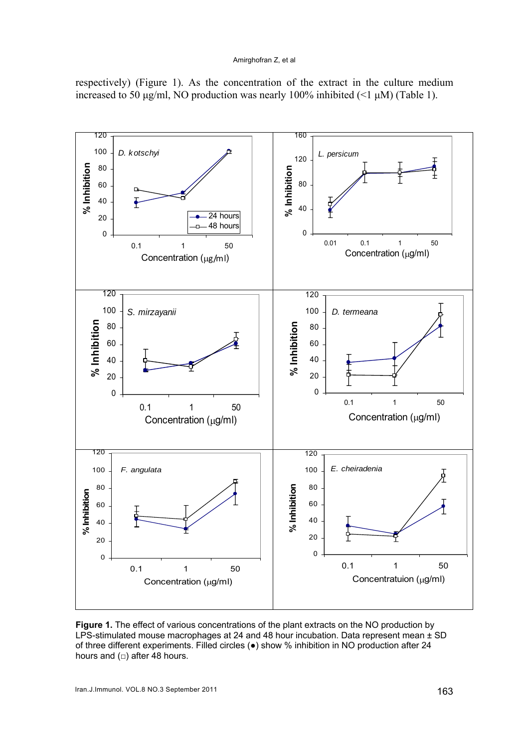#### Amirghofran Z, et al



respectively) (Figure 1). As the concentration of the extract in the culture medium increased to 50 μg/ml, NO production was nearly 100% inhibited  $($ <1 μM) (Table 1).

Figure 1. The effect of various concentrations of the plant extracts on the NO production by LPS-stimulated mouse macrophages at 24 and 48 hour incubation. Data represent mean  $\pm$  SD of three different experiments. Filled circles (●) show % inhibition in NO production after 24 hours and  $(□)$  after 48 hours.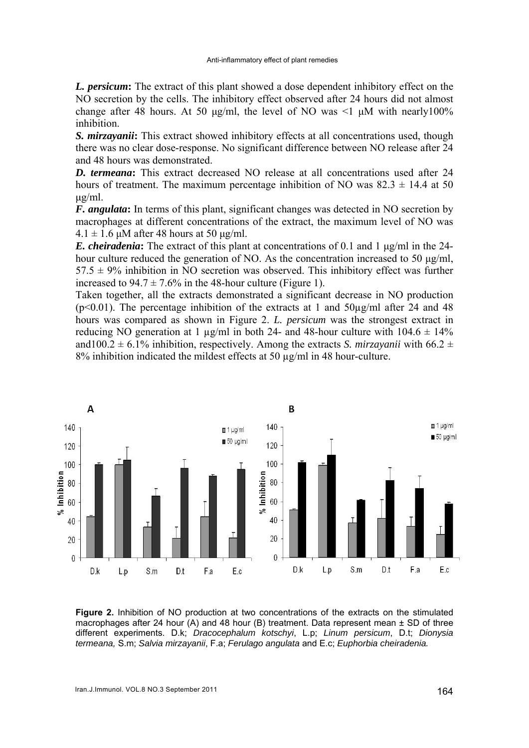*L. persicum***:** The extract of this plant showed a dose dependent inhibitory effect on the NO secretion by the cells. The inhibitory effect observed after 24 hours did not almost change after 48 hours. At 50 μg/ml, the level of NO was  $\leq 1$  μM with nearly 100% inhibition.

*S. mirzayanii***:** This extract showed inhibitory effects at all concentrations used, though there was no clear dose-response. No significant difference between NO release after 24 and 48 hours was demonstrated.

*D. termeana***:** This extract decreased NO release at all concentrations used after 24 hours of treatment. The maximum percentage inhibition of NO was  $82.3 \pm 14.4$  at 50 μg/ml.

*F. angulata***:** In terms of this plant, significant changes was detected in NO secretion by macrophages at different concentrations of the extract, the maximum level of NO was  $4.1 \pm 1.6$  μM after 48 hours at 50 μg/ml.

*E. cheiradenia***:** The extract of this plant at concentrations of 0.1 and 1 μg/ml in the 24 hour culture reduced the generation of NO. As the concentration increased to 50 μg/ml,  $57.5 \pm 9\%$  inhibition in NO secretion was observed. This inhibitory effect was further increased to  $94.7 \pm 7.6\%$  in the 48-hour culture (Figure 1).

Taken together, all the extracts demonstrated a significant decrease in NO production ( $p<0.01$ ). The percentage inhibition of the extracts at 1 and 50 $\mu$ g/ml after 24 and 48 hours was compared as shown in Figure 2. *L. persicum* was the strongest extract in reducing NO generation at 1  $\mu$ g/ml in both 24- and 48-hour culture with 104.6  $\pm$  14% and 100.2  $\pm$  6.1% inhibition, respectively. Among the extracts *S. mirzayanii* with 66.2  $\pm$ 8% inhibition indicated the mildest effects at 50 µg/ml in 48 hour-culture.



**Figure 2.** Inhibition of NO production at two concentrations of the extracts on the stimulated macrophages after 24 hour (A) and 48 hour (B) treatment. Data represent mean  $\pm$  SD of three different experiments. D.k; *Dracocephalum kotschyi*, L.p; *Linum persicum*, D.t; *Dionysia termeana,* S.m; *Salvia mirzayanii*, F.a; *Ferulago angulata* and E.c; *Euphorbia cheiradenia.*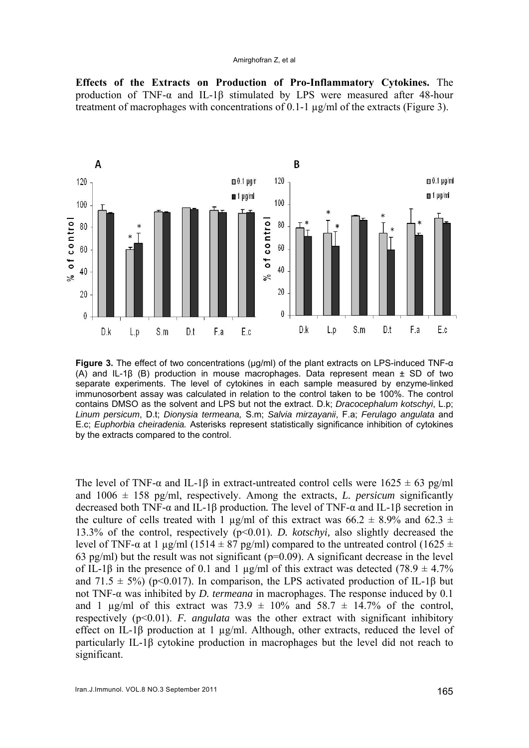#### Amirghofran Z, et al

**Effects of the Extracts on Production of Pro-Inflammatory Cytokines.** The production of TNF-α and IL-1β stimulated by LPS were measured after 48-hour treatment of macrophages with concentrations of 0.1-1 µg/ml of the extracts (Figure 3).



**Figure 3.** The effect of two concentrations (µg/ml) of the plant extracts on LPS-induced TNF-α (A) and IL-1 $\beta$  (B) production in mouse macrophages. Data represent mean  $\pm$  SD of two separate experiments. The level of cytokines in each sample measured by enzyme-linked immunosorbent assay was calculated in relation to the control taken to be 100%. The control contains DMSO as the solvent and LPS but not the extract. D.k; *Dracocephalum kotschyi*, L.p; *Linum persicum*, D.t; *Dionysia termeana,* S.m; *Salvia mirzayanii*, F.a; *Ferulago angulata* and E.c; *Euphorbia cheiradenia.* Asterisks represent statistically significance inhibition of cytokines by the extracts compared to the control.

The level of TNF- $\alpha$  and IL-1 $\beta$  in extract-untreated control cells were 1625  $\pm$  63 pg/ml and  $1006 \pm 158$  pg/ml, respectively. Among the extracts, *L. persicum* significantly decreased both TNF-α and IL-1β production*.* The level of TNF-α and IL-1β secretion in the culture of cells treated with 1  $\mu$ g/ml of this extract was 66.2  $\pm$  8.9% and 62.3  $\pm$ 13.3% of the control, respectively (p<0.01). *D. kotschyi,* also slightly decreased the level of TNF-α at 1 μg/ml (1514  $\pm$  87 pg/ml) compared to the untreated control (1625  $\pm$ 63 pg/ml) but the result was not significant ( $p=0.09$ ). A significant decrease in the level of IL-1 $\beta$  in the presence of 0.1 and 1 µg/ml of this extract was detected (78.9  $\pm$  4.7%) and 71.5  $\pm$  5%) (p<0.017). In comparison, the LPS activated production of IL-1β but not TNF-α was inhibited by *D. termeana* in macrophages. The response induced by 0.1 and 1  $\mu$ g/ml of this extract was 73.9  $\pm$  10% and 58.7  $\pm$  14.7% of the control, respectively  $(p<0.01)$ . *F. angulata* was the other extract with significant inhibitory effect on IL-1β production at 1 µg/ml. Although, other extracts, reduced the level of particularly IL-1β cytokine production in macrophages but the level did not reach to significant.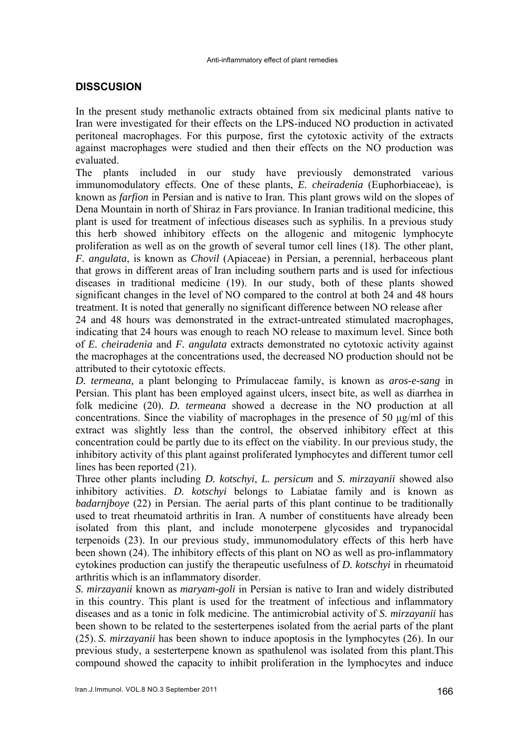# **DISSCUSION**

In the present study methanolic extracts obtained from six medicinal plants native to Iran were investigated for their effects on the LPS-induced NO production in activated peritoneal macrophages. For this purpose, first the cytotoxic activity of the extracts against macrophages were studied and then their effects on the NO production was evaluated.

The plants included in our study have previously demonstrated various immunomodulatory effects. One of these plants, *E. cheiradenia* (Euphorbiaceae), is known as *farfion* in Persian and is native to Iran. This plant grows wild on the slopes of Dena Mountain in north of Shiraz in Fars proviance. In Iranian traditional medicine, this plant is used for treatment of infectious diseases such as syphilis. In a previous study this herb showed inhibitory effects on the allogenic and mitogenic lymphocyte proliferation as well as on the growth of several tumor cell lines (18). The other plant*, F. angulata*, is known as *Chovil* (Apiaceae) in Persian, a perennial, herbaceous plant that grows in different areas of Iran including southern parts and is used for infectious diseases in traditional medicine (19). In our study, both of these plants showed significant changes in the level of NO compared to the control at both 24 and 48 hours treatment. It is noted that generally no significant difference between NO release after

24 and 48 hours was demonstrated in the extract-untreated stimulated macrophages, indicating that 24 hours was enough to reach NO release to maximum level. Since both of *E. cheiradenia* and *F. angulata* extracts demonstrated no cytotoxic activity against the macrophages at the concentrations used, the decreased NO production should not be attributed to their cytotoxic effects.

*D. termeana,* a plant belonging to Primulaceae family, is known as *aros-e-sang* in Persian. This plant has been employed against ulcers, insect bite, as well as diarrhea in folk medicine (20). *D. termeana* showed a decrease in the NO production at all concentrations. Since the viability of macrophages in the presence of 50 μg/ml of this extract was slightly less than the control, the observed inhibitory effect at this concentration could be partly due to its effect on the viability. In our previous study, the inhibitory activity of this plant against proliferated lymphocytes and different tumor cell lines has been reported (21).

Three other plants including *D. kotschyi*, *L. persicum* and *S. mirzayanii* showed also inhibitory activities. *D. kotschyi* belongs to Labiatae family and is known as *badarnjboye* (22) in Persian. The aerial parts of this plant continue to be traditionally used to treat rheumatoid arthritis in Iran. A number of constituents have already been isolated from this plant, and include monoterpene glycosides and trypanocidal terpenoids (23). In our previous study, immunomodulatory effects of this herb have been shown (24). The inhibitory effects of this plant on NO as well as pro-inflammatory cytokines production can justify the therapeutic usefulness of *D. kotschyi* in rheumatoid arthritis which is an inflammatory disorder.

*S. mirzayanii* known as *maryam-goli* in Persian is native to Iran and widely distributed in this country. This plant is used for the treatment of infectious and inflammatory diseases and as a tonic in folk medicine. The antimicrobial activity of *S. mirzayanii* has been shown to be related to the sesterterpenes isolated from the aerial parts of the plant (25). *S. mirzayanii* has been shown to induce apoptosis in the lymphocytes (26). In our previous study, a sesterterpene known as spathulenol was isolated from this plant.This compound showed the capacity to inhibit proliferation in the lymphocytes and induce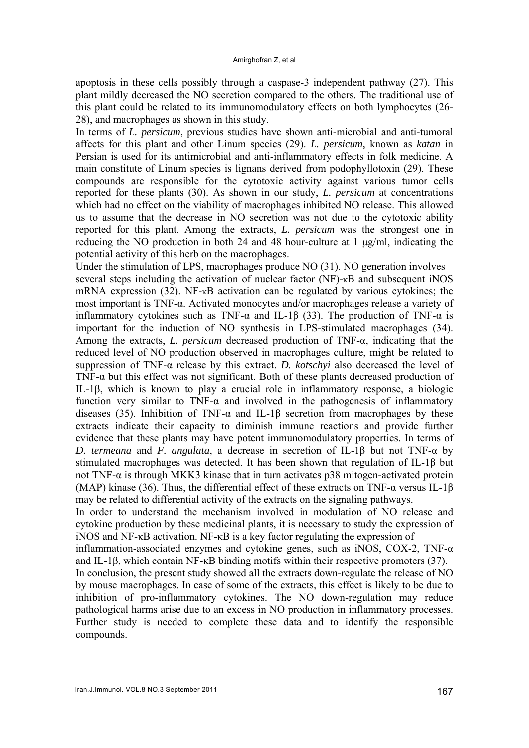apoptosis in these cells possibly through a caspase-3 independent pathway (27). This plant mildly decreased the NO secretion compared to the others. The traditional use of this plant could be related to its immunomodulatory effects on both lymphocytes (26- 28), and macrophages as shown in this study.

In terms of *L. persicum*, previous studies have shown anti-microbial and anti-tumoral affects for this plant and other Linum species (29). *L. persicum,* known as *katan* in Persian is used for its antimicrobial and anti-inflammatory effects in folk medicine. A main constitute of Linum species is lignans derived from podophyllotoxin (29). These compounds are responsible for the cytotoxic activity against various tumor cells reported for these plants (30). As shown in our study, *L. persicum* at concentrations which had no effect on the viability of macrophages inhibited NO release. This allowed us to assume that the decrease in NO secretion was not due to the cytotoxic ability reported for this plant. Among the extracts, *L. persicum* was the strongest one in reducing the NO production in both 24 and 48 hour-culture at 1 μg/ml, indicating the potential activity of this herb on the macrophages.

Under the stimulation of LPS, macrophages produce NO (31). NO generation involves several steps including the activation of nuclear factor  $(NF)$ - $\kappa$ B and subsequent iNOS mRNA expression (32). NF- $\kappa$ B activation can be regulated by various cytokines; the most important is TNF-α. Activated monocytes and/or macrophages release a variety of inflammatory cytokines such as TNF- $\alpha$  and IL-1 $\beta$  (33). The production of TNF- $\alpha$  is important for the induction of NO synthesis in LPS-stimulated macrophages (34). Among the extracts, *L. persicum* decreased production of TNF-α, indicating that the reduced level of NO production observed in macrophages culture, might be related to suppression of TNF-α release by this extract. *D. kotschyi* also decreased the level of TNF- $\alpha$  but this effect was not significant. Both of these plants decreased production of IL-1β, which is known to play a crucial role in inflammatory response, a biologic function very similar to TNF- $\alpha$  and involved in the pathogenesis of inflammatory diseases (35). Inhibition of TNF- $\alpha$  and IL-1β secretion from macrophages by these extracts indicate their capacity to diminish immune reactions and provide further evidence that these plants may have potent immunomodulatory properties. In terms of *D. termeana* and *F. angulata*, a decrease in secretion of IL-1β but not TNF-α by stimulated macrophages was detected. It has been shown that regulation of IL-1β but not TNF-α is through MKK3 kinase that in turn activates p38 mitogen-activated protein (MAP) kinase (36). Thus, the differential effect of these extracts on TNF- $\alpha$  versus IL-1 $\beta$ may be related to differential activity of the extracts on the signaling pathways.

In order to understand the mechanism involved in modulation of NO release and cytokine production by these medicinal plants, it is necessary to study the expression of iNOS and NF-κB activation. NF-κB is a key factor regulating the expression of

inflammation-associated enzymes and cytokine genes, such as iNOS, COX-2, TNF- $\alpha$ and IL-1β, which contain NF-κB binding motifs within their respective promoters (37).

In conclusion, the present study showed all the extracts down-regulate the release of NO by mouse macrophages. In case of some of the extracts, this effect is likely to be due to inhibition of pro-inflammatory cytokines. The NO down-regulation may reduce pathological harms arise due to an excess in NO production in inflammatory processes. Further study is needed to complete these data and to identify the responsible compounds.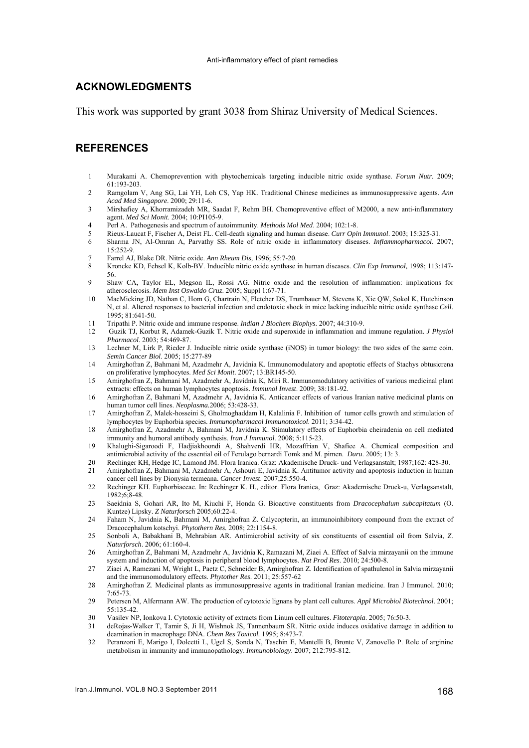### **ACKNOWLEDGMENTS**

This work was supported by grant 3038 from Shiraz University of Medical Sciences.

### **REFERENCES**

- 1 Murakami A. Chemoprevention with phytochemicals targeting inducible nitric oxide synthase. *Forum Nutr*. 2009; 61:193-203.
- 2 Ramgolam V, Ang SG, Lai YH, Loh CS, Yap HK. Traditional Chinese medicines as immunosuppressive agents. *Ann Acad Med Singapore*. 2000; 29:11-6.
- 3 Mirshafiey A, Khorramizadeh MR, Saadat F, Rehm BH. Chemopreventive effect of M2000, a new anti-inflammatory agent. *Med Sci Monit*. 2004; 10:PI105-9.
- 4 Perl A. Pathogenesis and spectrum of autoimmunity. *Methods Mol Med*. 2004; 102:1-8.
- 5 Rieux-Laucat F, Fischer A, Deist FL. Cell-death signaling and human disease. *Curr Opin Immunol*. 2003; 15:325-31.
- 6 Sharma JN, Al-Omran A, Parvathy SS. Role of nitric oxide in inflammatory diseases. *Inflammopharmacol*. 2007; 15:252-9.
- 7 Farrel AJ, Blake DR. Nitric oxide. *Ann Rheum Dis,* 1996; 55:7-20.
- 8 Kroncke KD, Fehsel K, Kolb-BV. Inducible nitric oxide synthase in human diseases. *Clin Exp Immunol,* 1998; 113:147- 56.
- 9 Shaw CA, Taylor EL, Megson IL, Rossi AG. Nitric oxide and the resolution of inflammation: implications for atherosclerosis. *Mem Inst Oswaldo Cruz*. 2005; Suppl 1:67-71.
- 10 MacMicking JD, Nathan C, Hom G, Chartrain N, Fletcher DS, Trumbauer M, Stevens K, Xie QW, Sokol K, Hutchinson N, et al. Altered responses to bacterial infection and endotoxic shock in mice lacking inducible nitric oxide synthase *Cell*. 1995; 81:641-50.
- 11 Tripathi P. Nitric oxide and immune response. *Indian J Biochem Biophys*. 2007; 44:310-9.
- 12 Guzik TJ, Korbut R, Adamek-Guzik T. Nitric oxide and superoxide in inflammation and immune regulation. *J Physiol Pharmacol*. 2003; 54:469-87.
- 13 Lechner M, Lirk P, Rieder J. Inducible nitric oxide synthase (iNOS) in tumor biology: the two sides of the same coin. *Semin Cancer Biol*. 2005; 15:277-89
- 14 Amirghofran Z, Bahmani M, Azadmehr A, Javidnia K. Immunomodulatory and apoptotic effects of Stachys obtusicrena on proliferative lymphocytes. *Med Sci Monit*. 2007; 13:BR145-50.
- 15 Amirghofran Z, Bahmani M, Azadmehr A, Javidnia K, Miri R. Immunomodulatory activities of various medicinal plant extracts: effects on human lymphocytes apoptosis. *Immunol Invest*. 2009; 38:181-92.
- 16 Amirghofran Z, Bahmani M, Azadmehr A, Javidnia K. Anticancer effects of various Iranian native medicinal plants on human tumor cell lines. *Neoplasma.*2006; 53:428-33.
- 17 Amirghofran Z, Malek-hosseini S, Gholmoghaddam H, Kalalinia F. Inhibition of tumor cells growth and stimulation of lymphocytes by Euphorbia species. *Immunopharmacol Immunotoxicol*. 2011; 3:34-42.
- 18 Amirghofran Z, Azadmehr A, Bahmani M, Javidnia K. Stimulatory effects of Euphorbia cheiradenia on cell mediated immunity and humoral antibody synthesis. *Iran J Immunol*. 2008; 5:115-23.
- 19 Khalughi-Sigaroodi F, Hadjiakhoondi A, Shahverdi HR, Mozaffrian V, Shafiee A. Chemical composition and antimicrobial activity of the essential oil of Ferulago bernardi Tomk and M. pimen. *Daru*. 2005; 13: 3.
- 20 Rechinger KH, Hedge IC, Lamond JM. Flora Iranica. Graz: Akademische Druck- und Verlagsanstalt; 1987;162: 428-30.
- 21 Amirghofran Z, Bahmani M, Azadmehr A, Ashouri E, Javidnia K. Antitumor activity and apoptosis induction in human cancer cell lines by Dionysia termeana. *Cancer Invest*. 2007;25:550-4.
- 22 Rechinger KH. Euphorbiaceae. In: Rechinger K. H., editor. Flora Iranica, Graz: Akademische Druck-u, Verlagsanstalt, 1982;6;8-48.
- 23 Saeidnia S, Gohari AR, Ito M, Kiuchi F, Honda G. Bioactive constituents from *Dracocephalum subcapitatum* (O. Kuntze) Lipsky. *Z Naturforsch* 2005;60:22-4.
- 24 Faham N, Javidnia K, Bahmani M, Amirghofran Z. Calycopterin, an immunoinhibitory compound from the extract of Dracocephalum kotschyi. *Phytothern Res.* 2008; 22:1154-8.
- 25 Sonboli A, Babakhani B, Mehrabian AR. Antimicrobial activity of six constituents of essential oil from Salvia, *Z. Naturforsch*. 2006; 61:160-4.
- 26 Amirghofran Z, Bahmani M, Azadmehr A, Javidnia K, Ramazani M, Ziaei A. Effect of Salvia mirzayanii on the immune system and induction of apoptosis in peripheral blood lymphocytes. *Nat Prod Res*. 2010; 24:500-8.
- 27 Ziaei A, Ramezani M, Wright L, Paetz C, Schneider B, Amirghofran Z. Identification of spathulenol in Salvia mirzayanii and the immunomodulatory effects. *Phytother Res*. 2011; 25:557-62
- 28 Amirghofran Z. Medicinal plants as immunosuppressive agents in traditional Iranian medicine. Iran J Immunol. 2010; 7:65-73.
- 29 Petersen M, Alfermann AW. The production of cytotoxic lignans by plant cell cultures. *Appl Microbiol Biotechnol*. 2001; 55:135-42.
- 30 Vasilev NP, Ionkova I. Cytotoxic activity of extracts from Linum cell cultures. *Fitoterapia*. 2005; 76:50-3.
- deRojas-Walker T, Tamir S, Ji H, Wishnok JS, Tannenbaum SR. Nitric oxide induces oxidative damage in addition to deamination in macrophage DNA. *Chem Res Toxicol.* 1995; 8:473-7.
- 32 Peranzoni E, Marigo I, Dolcetti L, Ugel S, Sonda N, Taschin E, Mantelli B, Bronte V, Zanovello P. Role of arginine metabolism in immunity and immunopathology. *Immunobiology*. 2007; 212:795-812.